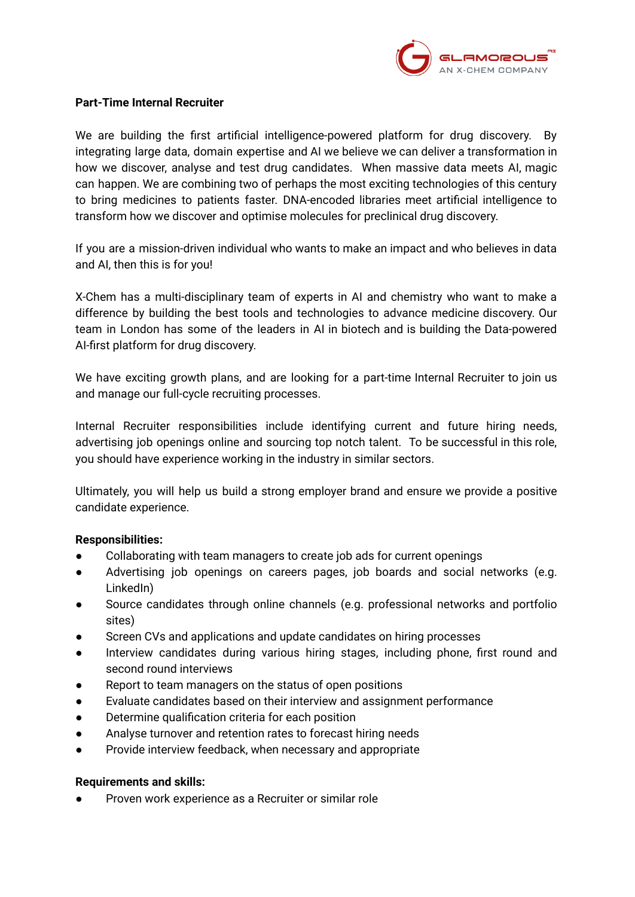

## **Part-Time Internal Recruiter**

We are building the first artificial intelligence-powered platform for drug discovery. By integrating large data, domain expertise and AI we believe we can deliver a transformation in how we discover, analyse and test drug candidates. When massive data meets AI, magic can happen. We are combining two of perhaps the most exciting technologies of this century to bring medicines to patients faster. DNA-encoded libraries meet artificial intelligence to transform how we discover and optimise molecules for preclinical drug discovery.

If you are a mission-driven individual who wants to make an impact and who believes in data and AI, then this is for you!

X-Chem has a multi-disciplinary team of experts in AI and chemistry who want to make a difference by building the best tools and technologies to advance medicine discovery. Our team in London has some of the leaders in AI in biotech and is building the Data-powered AI-first platform for drug discovery.

We have exciting growth plans, and are looking for a part-time Internal Recruiter to join us and manage our full-cycle recruiting processes.

Internal Recruiter responsibilities include identifying current and future hiring needs, advertising job openings online and sourcing top notch talent. To be successful in this role, you should have experience working in the industry in similar sectors.

Ultimately, you will help us build a strong employer brand and ensure we provide a positive candidate experience.

## **Responsibilities:**

- Collaborating with team managers to create job ads for current openings
- Advertising job openings on careers pages, job boards and social networks (e.g. LinkedIn)
- Source candidates through online channels (e.g. professional networks and portfolio sites)
- Screen CVs and applications and update candidates on hiring processes
- Interview candidates during various hiring stages, including phone, first round and second round interviews
- Report to team managers on the status of open positions
- Evaluate candidates based on their interview and assignment performance
- Determine qualification criteria for each position
- Analyse turnover and retention rates to forecast hiring needs
- Provide interview feedback, when necessary and appropriate

## **Requirements and skills:**

Proven work experience as a Recruiter or similar role